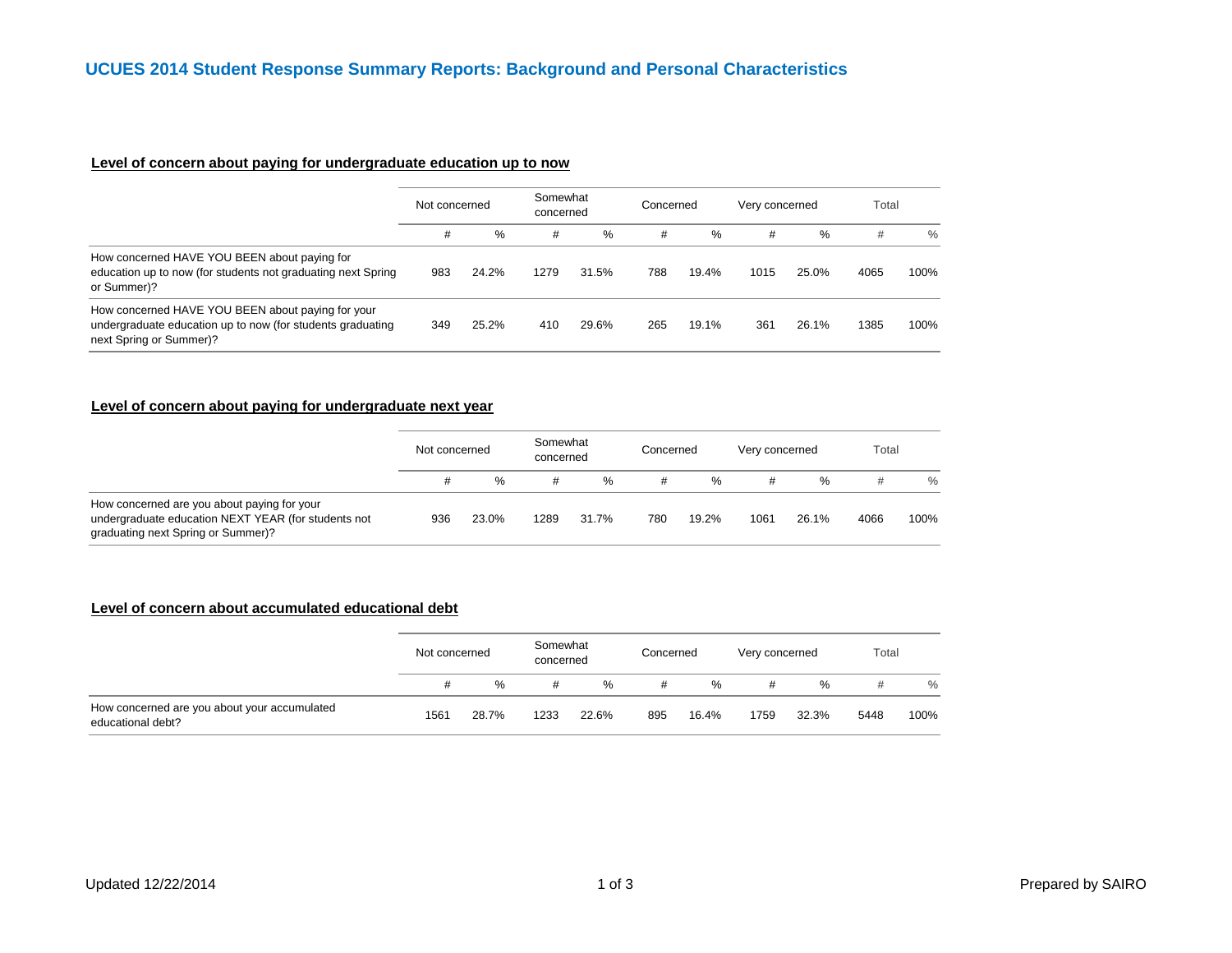# **Level of concern about paying for undergraduate education up to now**

|                                                                                                                                            | Not concerned |       | Somewhat<br>concerned |       | Concerned |       | Very concerned |       | Total |      |
|--------------------------------------------------------------------------------------------------------------------------------------------|---------------|-------|-----------------------|-------|-----------|-------|----------------|-------|-------|------|
|                                                                                                                                            | #             | %     | #                     | $\%$  | #         | $\%$  | #              | %     | #     | $\%$ |
| How concerned HAVE YOU BEEN about paying for<br>education up to now (for students not graduating next Spring<br>or Summer)?                | 983           | 24.2% | 1279                  | 31.5% | 788       | 19.4% | 1015           | 25.0% | 4065  | 100% |
| How concerned HAVE YOU BEEN about paying for your<br>undergraduate education up to now (for students graduating<br>next Spring or Summer)? | 349           | 25.2% | 410                   | 29.6% | 265       | 19.1% | 361            | 26.1% | 1385  | 100% |

#### **Level of concern about paying for undergraduate next year**

|                                                                                                                                          | Not concerned |       | Somewhat<br>concerned |       | Concerned |       | Very concerned |       | Total |      |
|------------------------------------------------------------------------------------------------------------------------------------------|---------------|-------|-----------------------|-------|-----------|-------|----------------|-------|-------|------|
|                                                                                                                                          |               | %     | #                     | $\%$  | #         | %     | #              | %     | #     | $\%$ |
| How concerned are you about paying for your<br>undergraduate education NEXT YEAR (for students not<br>graduating next Spring or Summer)? | 936           | 23.0% | 1289                  | 31.7% | 780       | 19.2% | 1061           | 26.1% | 4066  | 100% |

### **Level of concern about accumulated educational debt**

|                                                                   | Not concerned |       | Somewhat<br>concerned |       | Concerned |       | Very concerned |       | Total |               |
|-------------------------------------------------------------------|---------------|-------|-----------------------|-------|-----------|-------|----------------|-------|-------|---------------|
|                                                                   |               | $\%$  | #                     | %     | #         | %     | #              | %     |       | $\frac{0}{0}$ |
| How concerned are you about your accumulated<br>educational debt? | 1561          | 28.7% | 1233                  | 22.6% | 895       | 16.4% | 1759           | 32.3% | 5448  | 100%          |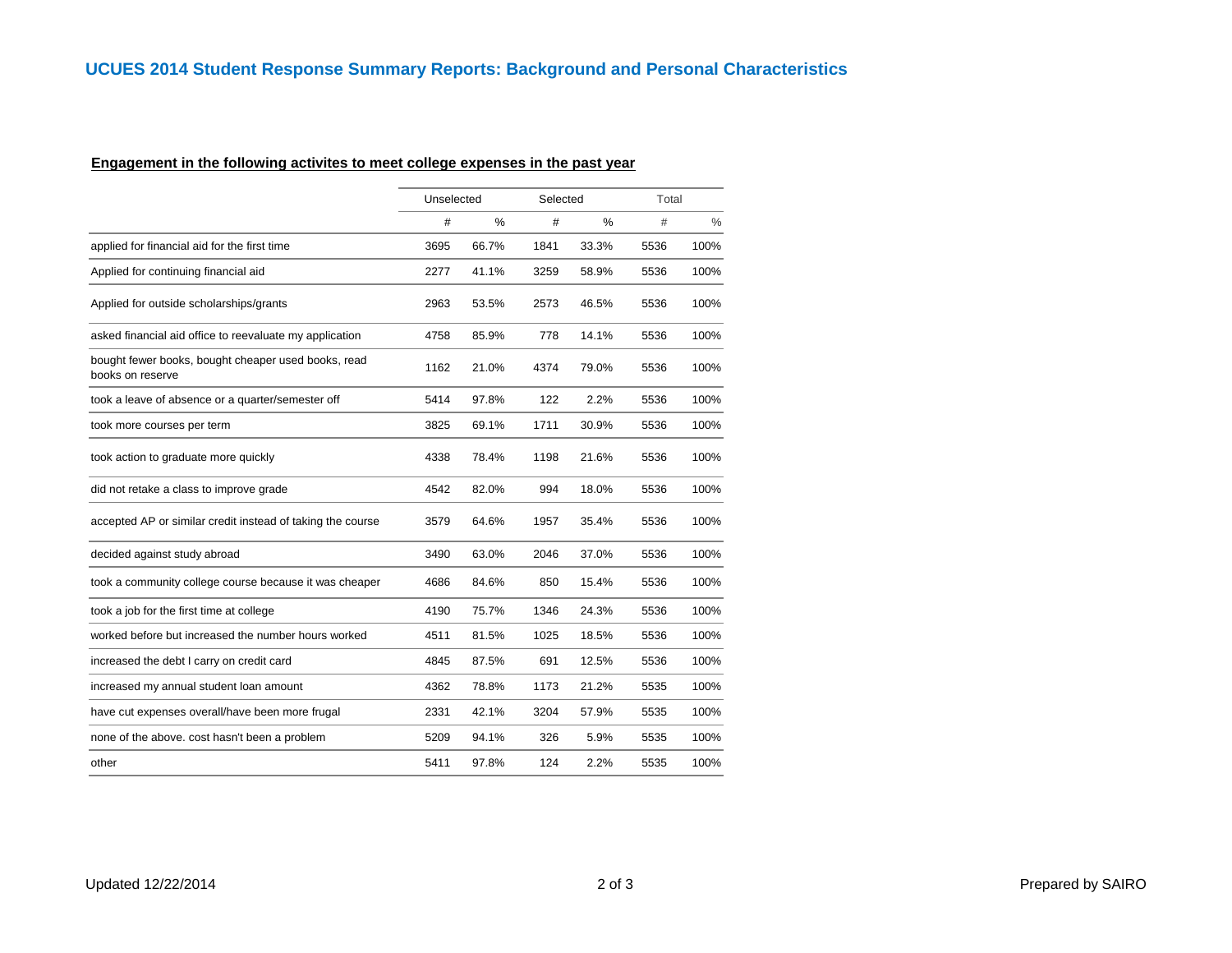# **Engagement in the following activites to meet college expenses in the past year**

|                                                                         |      | Unselected<br>Selected |      | Total |      |      |
|-------------------------------------------------------------------------|------|------------------------|------|-------|------|------|
|                                                                         | #    | %                      | #    | %     | #    | $\%$ |
| applied for financial aid for the first time                            | 3695 | 66.7%                  | 1841 | 33.3% | 5536 | 100% |
| Applied for continuing financial aid                                    | 2277 | 41.1%                  | 3259 | 58.9% | 5536 | 100% |
| Applied for outside scholarships/grants                                 | 2963 | 53.5%                  | 2573 | 46.5% | 5536 | 100% |
| asked financial aid office to reevaluate my application                 | 4758 | 85.9%                  | 778  | 14.1% | 5536 | 100% |
| bought fewer books, bought cheaper used books, read<br>books on reserve | 1162 | 21.0%                  | 4374 | 79.0% | 5536 | 100% |
| took a leave of absence or a quarter/semester off                       | 5414 | 97.8%                  | 122  | 2.2%  | 5536 | 100% |
| took more courses per term                                              | 3825 | 69.1%                  | 1711 | 30.9% | 5536 | 100% |
| took action to graduate more quickly                                    | 4338 | 78.4%                  | 1198 | 21.6% | 5536 | 100% |
| did not retake a class to improve grade                                 | 4542 | 82.0%                  | 994  | 18.0% | 5536 | 100% |
| accepted AP or similar credit instead of taking the course              | 3579 | 64.6%                  | 1957 | 35.4% | 5536 | 100% |
| decided against study abroad                                            | 3490 | 63.0%                  | 2046 | 37.0% | 5536 | 100% |
| took a community college course because it was cheaper                  | 4686 | 84.6%                  | 850  | 15.4% | 5536 | 100% |
| took a job for the first time at college                                | 4190 | 75.7%                  | 1346 | 24.3% | 5536 | 100% |
| worked before but increased the number hours worked                     | 4511 | 81.5%                  | 1025 | 18.5% | 5536 | 100% |
| increased the debt I carry on credit card                               | 4845 | 87.5%                  | 691  | 12.5% | 5536 | 100% |
| increased my annual student loan amount                                 | 4362 | 78.8%                  | 1173 | 21.2% | 5535 | 100% |
| have cut expenses overall/have been more frugal                         | 2331 | 42.1%                  | 3204 | 57.9% | 5535 | 100% |
| none of the above. cost hasn't been a problem                           | 5209 | 94.1%                  | 326  | 5.9%  | 5535 | 100% |
| other                                                                   | 5411 | 97.8%                  | 124  | 2.2%  | 5535 | 100% |